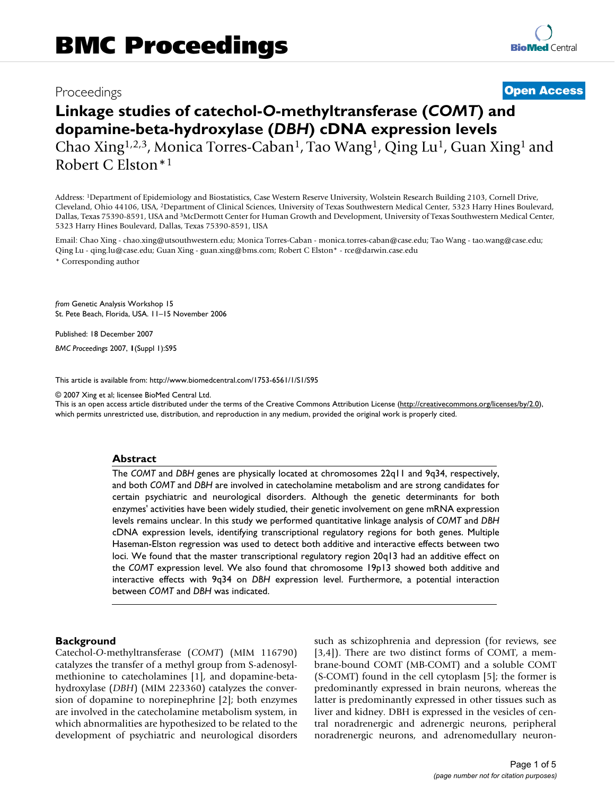## Proceedings **[Open Access](http://www.biomedcentral.com/info/about/charter/)**

# **Linkage studies of catechol-***O***-methyltransferase (***COMT***) and dopamine-beta-hydroxylase (***DBH***) cDNA expression levels** Chao Xing1,2,3, Monica Torres-Caban1, Tao Wang1, Qing Lu1, Guan Xing1 and Robert C Elston\*1

Address: 1Department of Epidemiology and Biostatistics, Case Western Reserve University, Wolstein Research Building 2103, Cornell Drive, Cleveland, Ohio 44106, USA, 2Department of Clinical Sciences, University of Texas Southwestern Medical Center, 5323 Harry Hines Boulevard, Dallas, Texas 75390-8591, USA and 3McDermott Center for Human Growth and Development, University of Texas Southwestern Medical Center, 5323 Harry Hines Boulevard, Dallas, Texas 75390-8591, USA

Email: Chao Xing - chao.xing@utsouthwestern.edu; Monica Torres-Caban - monica.torres-caban@case.edu; Tao Wang - tao.wang@case.edu; Qing Lu - qing.lu@case.edu; Guan Xing - guan.xing@bms.com; Robert C Elston\* - rce@darwin.case.edu \* Corresponding author

*from* Genetic Analysis Workshop 15 St. Pete Beach, Florida, USA. 11–15 November 2006

Published: 18 December 2007

*BMC Proceedings* 2007, **1**(Suppl 1):S95

[This article is available from: http://www.biomedcentral.com/1753-6561/1/S1/S95](http://www.biomedcentral.com/1753-6561/1/S1/S95)

© 2007 Xing et al; licensee BioMed Central Ltd.

This is an open access article distributed under the terms of the Creative Commons Attribution License [\(http://creativecommons.org/licenses/by/2.0\)](http://creativecommons.org/licenses/by/2.0), which permits unrestricted use, distribution, and reproduction in any medium, provided the original work is properly cited.

#### **Abstract**

The *COMT* and *DBH* genes are physically located at chromosomes 22q11 and 9q34, respectively, and both *COMT* and *DBH* are involved in catecholamine metabolism and are strong candidates for certain psychiatric and neurological disorders. Although the genetic determinants for both enzymes' activities have been widely studied, their genetic involvement on gene mRNA expression levels remains unclear. In this study we performed quantitative linkage analysis of *COMT* and *DBH* cDNA expression levels, identifying transcriptional regulatory regions for both genes. Multiple Haseman-Elston regression was used to detect both additive and interactive effects between two loci. We found that the master transcriptional regulatory region 20q13 had an additive effect on the *COMT* expression level. We also found that chromosome 19p13 showed both additive and interactive effects with 9q34 on *DBH* expression level. Furthermore, a potential interaction between *COMT* and *DBH* was indicated.

#### **Background**

Catechol-*O*-methyltransferase (*COMT*) (MIM 116790) catalyzes the transfer of a methyl group from S-adenosylmethionine to catecholamines [[1](#page-4-0)], and dopamine-betahydroxylase (*DBH*) (MIM 223360) catalyzes the conversion of dopamine to norepinephrine [2]; both enzymes are involved in the catecholamine metabolism system, in which abnormalities are hypothesized to be related to the development of psychiatric and neurological disorders such as schizophrenia and depression (for reviews, see [3,4]). There are two distinct forms of COMT, a membrane-bound COMT (MB-COMT) and a soluble COMT (S-COMT) found in the cell cytoplasm [[5](#page-4-1)]; the former is predominantly expressed in brain neurons, whereas the latter is predominantly expressed in other tissues such as liver and kidney. DBH is expressed in the vesicles of central noradrenergic and adrenergic neurons, peripheral noradrenergic neurons, and adrenomedullary neuron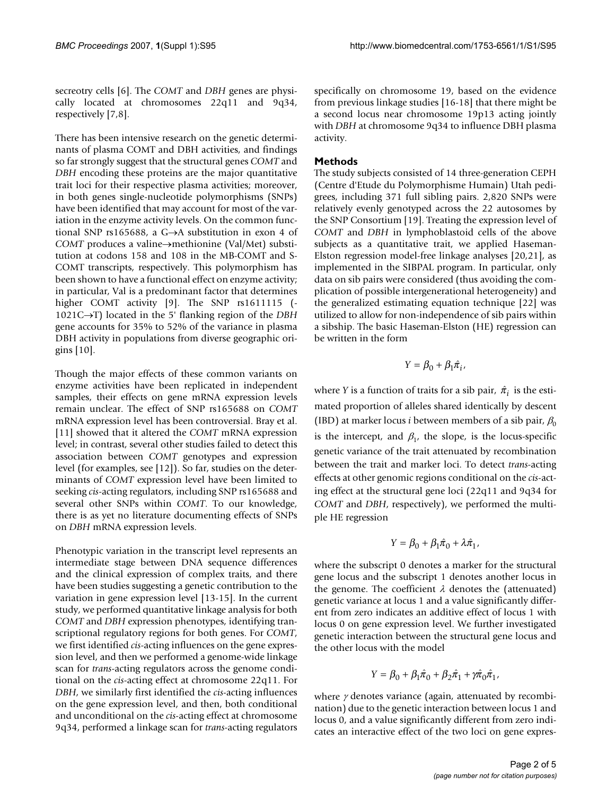secreotry cells [6]. The *COMT* and *DBH* genes are physically located at chromosomes 22q11 and 9q34, respectively [7,[8](#page-4-2)].

There has been intensive research on the genetic determinants of plasma COMT and DBH activities, and findings so far strongly suggest that the structural genes *COMT* and *DBH* encoding these proteins are the major quantitative trait loci for their respective plasma activities; moreover, in both genes single-nucleotide polymorphisms (SNPs) have been identified that may account for most of the variation in the enzyme activity levels. On the common functional SNP rs165688, a G→A substitution in exon 4 of *COMT* produces a valine→methionine (Val/Met) substitution at codons 158 and 108 in the MB-COMT and S-COMT transcripts, respectively. This polymorphism has been shown to have a functional effect on enzyme activity; in particular, Val is a predominant factor that determines higher COMT activity [9]. The SNP rs1611115 (-1021C→T) located in the 5' flanking region of the *DBH* gene accounts for 35% to 52% of the variance in plasma DBH activity in populations from diverse geographic origins [10].

Though the major effects of these common variants on enzyme activities have been replicated in independent samples, their effects on gene mRNA expression levels remain unclear. The effect of SNP rs165688 on *COMT* mRNA expression level has been controversial. Bray et al. [11] showed that it altered the *COMT* mRNA expression level; in contrast, several other studies failed to detect this association between *COMT* genotypes and expression level (for examples, see [12]). So far, studies on the determinants of *COMT* expression level have been limited to seeking *cis*-acting regulators, including SNP rs165688 and several other SNPs within *COMT*. To our knowledge, there is as yet no literature documenting effects of SNPs on *DBH* mRNA expression levels.

Phenotypic variation in the transcript level represents an intermediate stage between DNA sequence differences and the clinical expression of complex traits, and there have been studies suggesting a genetic contribution to the variation in gene expression level [13-15]. In the current study, we performed quantitative linkage analysis for both *COMT* and *DBH* expression phenotypes, identifying transcriptional regulatory regions for both genes. For *COMT*, we first identified *cis*-acting influences on the gene expression level, and then we performed a genome-wide linkage scan for *trans*-acting regulators across the genome conditional on the *cis*-acting effect at chromosome 22q11. For *DBH*, we similarly first identified the *cis*-acting influences on the gene expression level, and then, both conditional and unconditional on the *cis*-acting effect at chromosome 9q34, performed a linkage scan for *trans*-acting regulators

specifically on chromosome 19, based on the evidence from previous linkage studies [16-18] that there might be a second locus near chromosome 19p13 acting jointly with *DBH* at chromosome 9q34 to influence DBH plasma activity.

### **Methods**

The study subjects consisted of 14 three-generation CEPH (Centre d'Etude du Polymorphisme Humain) Utah pedigrees, including 371 full sibling pairs. 2,820 SNPs were relatively evenly genotyped across the 22 autosomes by the SNP Consortium [19]. Treating the expression level of *COMT* and *DBH* in lymphoblastoid cells of the above subjects as a quantitative trait, we applied Haseman-Elston regression model-free linkage analyses [20,21], as implemented in the SIBPAL program. In particular, only data on sib pairs were considered (thus avoiding the complication of possible intergenerational heterogeneity) and the generalized estimating equation technique [22] was utilized to allow for non-independence of sib pairs within a sibship. The basic Haseman-Elston (HE) regression can be written in the form

$$
Y=\beta_0+\beta_1\hat{\pi_i},
$$

where *Y* is a function of traits for a sib pair,  $\hat{\pi}_i$  is the estimated proportion of alleles shared identically by descent (IBD) at marker locus *i* between members of a sib pair,  $\beta_0$ is the intercept, and  $\beta_1$ , the slope, is the locus-specific genetic variance of the trait attenuated by recombination between the trait and marker loci. To detect *trans*-acting effects at other genomic regions conditional on the *cis*-acting effect at the structural gene loci (22q11 and 9q34 for *COMT* and *DBH*, respectively), we performed the multiple HE regression

$$
Y = \beta_0 + \beta_1 \hat{\pi}_0 + \lambda \hat{\pi}_1,
$$

where the subscript 0 denotes a marker for the structural gene locus and the subscript 1 denotes another locus in the genome. The coefficient  $\lambda$  denotes the (attenuated) genetic variance at locus 1 and a value significantly different from zero indicates an additive effect of locus 1 with locus 0 on gene expression level. We further investigated genetic interaction between the structural gene locus and the other locus with the model

$$
Y = \beta_0 + \beta_1 \hat{\pi}_0 + \beta_2 \hat{\pi}_1 + \gamma \hat{\pi}_0 \hat{\pi}_1,
$$

where  $\gamma$  denotes variance (again, attenuated by recombination) due to the genetic interaction between locus 1 and locus 0, and a value significantly different from zero indicates an interactive effect of the two loci on gene expres-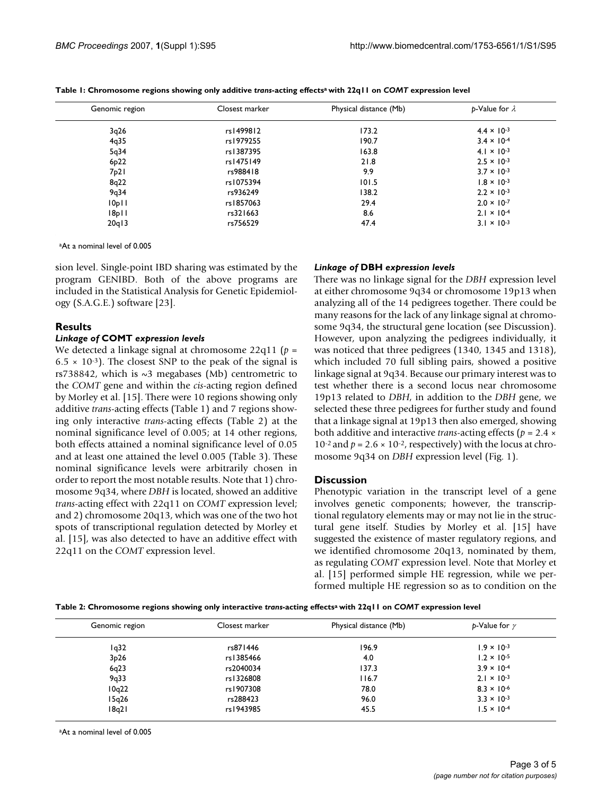| Genomic region    | Closest marker | Physical distance (Mb) | $b$ -Value for $\lambda$ |  |
|-------------------|----------------|------------------------|--------------------------|--|
| 3q26              | rs1499812      | 173.2                  | $4.4 \times 10^{-3}$     |  |
| 4q35              | rs1979255      | 190.7                  | $3.4 \times 10^{-4}$     |  |
| 5q34              | rs1387395      | 163.8                  | $4.1 \times 10^{-3}$     |  |
| 6 <sub>p</sub> 22 | rs1475149      | 21.8                   | $2.5 \times 10^{-3}$     |  |
| 7p21              | rs988418       | 9.9                    | $3.7 \times 10^{-3}$     |  |
| 8q22              | rs1075394      | 101.5                  | $1.8 \times 10^{-3}$     |  |
| 9q34              | rs936249       | 138.2                  | $2.2 \times 10^{-3}$     |  |
| 10p11             | rs1857063      | 29.4                   | $2.0 \times 10^{-7}$     |  |
| 8p                | rs321663       | 8.6                    | $2.1 \times 10^{-4}$     |  |
| 20q13             | rs756529       | 47.4                   | $3.1 \times 10^{-3}$     |  |

**Table 1: Chromosome regions showing only additive** *trans***-acting effectsa with 22q11 on** *COMT* **expression level**

aAt a nominal level of 0.005

sion level. Single-point IBD sharing was estimated by the program GENIBD. Both of the above programs are included in the Statistical Analysis for Genetic Epidemiology (S.A.G.E.) software [23].

#### **Results**

#### *Linkage of* **COMT** *expression levels*

We detected a linkage signal at chromosome 22q11 (*p* =  $6.5 \times 10^{-3}$ ). The closest SNP to the peak of the signal is rs738842, which is  $\sim$ 3 megabases (Mb) centrometric to the *COMT* gene and within the *cis*-acting region defined by Morley et al. [15]. There were 10 regions showing only additive *trans*-acting effects (Table 1) and 7 regions showing only interactive *trans*-acting effects (Table 2) at the nominal significance level of 0.005; at 14 other regions, both effects attained a nominal significance level of 0.05 and at least one attained the level 0.005 (Table 3). These nominal significance levels were arbitrarily chosen in order to report the most notable results. Note that 1) chromosome 9q34, where *DBH* is located, showed an additive *trans*-acting effect with 22q11 on *COMT* expression level; and 2) chromosome 20q13, which was one of the two hot spots of transcriptional regulation detected by Morley et al. [15], was also detected to have an additive effect with 22q11 on the *COMT* expression level.

#### *Linkage of* **DBH** *expression levels*

There was no linkage signal for the *DBH* expression level at either chromosome 9q34 or chromosome 19p13 when analyzing all of the 14 pedigrees together. There could be many reasons for the lack of any linkage signal at chromosome 9q34, the structural gene location (see Discussion). However, upon analyzing the pedigrees individually, it was noticed that three pedigrees (1340, 1345 and 1318), which included 70 full sibling pairs, showed a positive linkage signal at 9q34. Because our primary interest was to test whether there is a second locus near chromosome 19p13 related to *DBH*, in addition to the *DBH* gene, we selected these three pedigrees for further study and found that a linkage signal at 19p13 then also emerged, showing both additive and interactive *trans*-acting effects (*p* = 2.4 × 10<sup>-2</sup> and  $p = 2.6 \times 10^{-2}$ , respectively) with the locus at chromosome 9q34 on *DBH* expression level (Fig. 1).

#### **Discussion**

Phenotypic variation in the transcript level of a gene involves genetic components; however, the transcriptional regulatory elements may or may not lie in the structural gene itself. Studies by Morley et al. [15] have suggested the existence of master regulatory regions, and we identified chromosome 20q13, nominated by them, as regulating *COMT* expression level. Note that Morley et al. [15] performed simple HE regression, while we performed multiple HE regression so as to condition on the

| Table 2: Chromosome regions showing only interactive trans-acting effects <sup>a</sup> with 22q11 on COMT expression level |  |  |  |  |  |
|----------------------------------------------------------------------------------------------------------------------------|--|--|--|--|--|
|----------------------------------------------------------------------------------------------------------------------------|--|--|--|--|--|

| Genomic region | Closest marker | Physical distance (Mb) | $p$ -Value for $\gamma$ |
|----------------|----------------|------------------------|-------------------------|
| 1q32           | rs871446       | 196.9                  | $1.9 \times 10^{-3}$    |
| 3p26           | rs1385466      | 4.0                    | $1.2 \times 10^{-5}$    |
| 6q23           | rs2040034      | 137.3                  | $3.9 \times 10^{-4}$    |
| 9q33           | rs1326808      | 116.7                  | $2.1 \times 10^{-3}$    |
| 10q22          | rs1907308      | 78.0                   | $8.3 \times 10^{-6}$    |
| 15q26          | rs288423       | 96.0                   | $3.3 \times 10^{-3}$    |
| 18q21          | rs1943985      | 45.5                   | $1.5 \times 10^{-4}$    |

aAt a nominal level of 0.005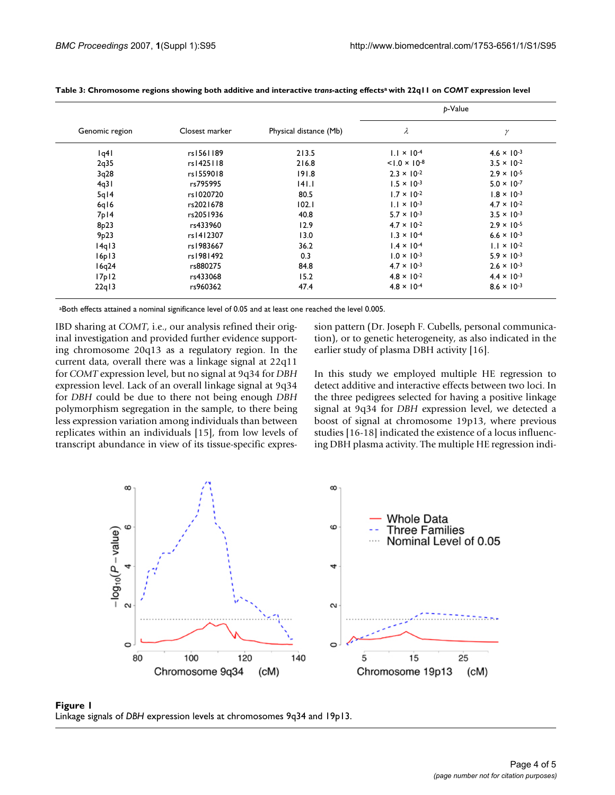| Genomic region     | Closest marker | Physical distance (Mb) | p-Value                |                      |
|--------------------|----------------|------------------------|------------------------|----------------------|
|                    |                |                        | λ                      | γ                    |
| q4                 | rs1561189      | 213.5                  | $1.1 \times 10^{-4}$   | $4.6 \times 10^{-3}$ |
| 2q35               | rs1425118      | 216.8                  | $< 1.0 \times 10^{-8}$ | $3.5 \times 10^{-2}$ |
| 3q28               | rs1559018      | 191.8                  | $2.3 \times 10^{-2}$   | $2.9 \times 10^{-5}$ |
| 4q31               | rs795995       | 4 .                    | $1.5 \times 10^{-3}$   | $5.0 \times 10^{-7}$ |
| $5q$ <sub>14</sub> | rs1020720      | 80.5                   | $1.7 \times 10^{-2}$   | $1.8 \times 10^{-3}$ |
| 6q16               | rs2021678      | 102.1                  | $1.1 \times 10^{-3}$   | $4.7 \times 10^{-2}$ |
| $7p$ <sub>14</sub> | rs2051936      | 40.8                   | $5.7 \times 10^{-3}$   | $3.5 \times 10^{-3}$ |
| 8p23               | rs433960       | 12.9                   | $4.7 \times 10^{-2}$   | $2.9 \times 10^{-5}$ |
| 9p23               | rs1412307      | 13.0                   | $1.3 \times 10^{-4}$   | $6.6 \times 10^{-3}$ |
| 14q13              | rs1983667      | 36.2                   | $1.4 \times 10^{-4}$   | $1.1 \times 10^{-2}$ |
| 16p13              | rs1981492      | 0.3                    | $1.0 \times 10^{-3}$   | $5.9 \times 10^{-3}$ |
| 16q24              | rs880275       | 84.8                   | $4.7 \times 10^{-3}$   | $2.6 \times 10^{-3}$ |
| 17p12              | rs433068       | 15.2                   | $4.8 \times 10^{-2}$   | $4.4 \times 10^{-3}$ |
| 22q13              | rs960362       | 47.4                   | $4.8 \times 10^{-4}$   | $8.6 \times 10^{-3}$ |

**Table 3: Chromosome regions showing both additive and interactive** *trans***-acting effectsa with 22q11 on** *COMT* **expression level**

aBoth effects attained a nominal significance level of 0.05 and at least one reached the level 0.005.

IBD sharing at *COMT*, i.e., our analysis refined their original investigation and provided further evidence supporting chromosome 20q13 as a regulatory region. In the current data, overall there was a linkage signal at 22q11 for *COMT* expression level, but no signal at 9q34 for *DBH* expression level. Lack of an overall linkage signal at 9q34 for *DBH* could be due to there not being enough *DBH* polymorphism segregation in the sample, to there being less expression variation among individuals than between replicates within an individuals [15], from low levels of transcript abundance in view of its tissue-specific expression pattern (Dr. Joseph F. Cubells, personal communication), or to genetic heterogeneity, as also indicated in the earlier study of plasma DBH activity [16].

In this study we employed multiple HE regression to detect additive and interactive effects between two loci. In the three pedigrees selected for having a positive linkage signal at 9q34 for *DBH* expression level, we detected a boost of signal at chromosome 19p13, where previous studies [16-18] indicated the existence of a locus influencing DBH plasma activity. The multiple HE regression indi-